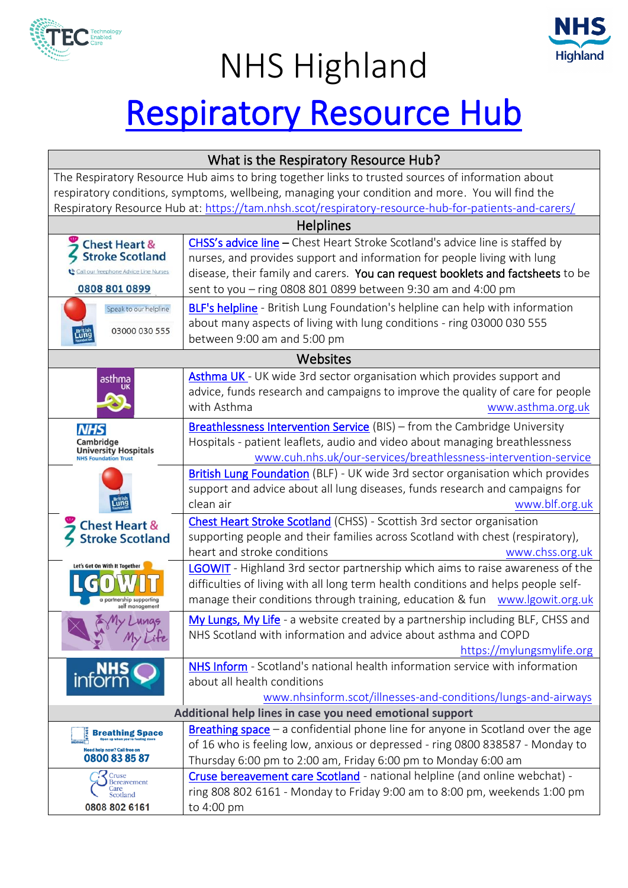

## NHS Highland



## [Respiratory Resource Hub](https://tam.nhsh.scot/respiratory-resource-hub-for-patients-and-carers/)

| What is the Respiratory Resource Hub?                                                                |                                                                                          |  |  |  |  |  |  |
|------------------------------------------------------------------------------------------------------|------------------------------------------------------------------------------------------|--|--|--|--|--|--|
| The Respiratory Resource Hub aims to bring together links to trusted sources of information about    |                                                                                          |  |  |  |  |  |  |
| respiratory conditions, symptoms, wellbeing, managing your condition and more. You will find the     |                                                                                          |  |  |  |  |  |  |
| Respiratory Resource Hub at: https://tam.nhsh.scot/respiratory-resource-hub-for-patients-and-carers/ |                                                                                          |  |  |  |  |  |  |
| <b>Helplines</b>                                                                                     |                                                                                          |  |  |  |  |  |  |
| <b>Chest Heart &amp;</b><br><b>Stroke Scotland</b>                                                   | CHSS's advice line - Chest Heart Stroke Scotland's advice line is staffed by             |  |  |  |  |  |  |
|                                                                                                      | nurses, and provides support and information for people living with lung                 |  |  |  |  |  |  |
| our freephone Advice Line Nurses                                                                     | disease, their family and carers. You can request booklets and factsheets to be          |  |  |  |  |  |  |
| 0808 801 0899                                                                                        | sent to you - ring 0808 801 0899 between 9:30 am and 4:00 pm                             |  |  |  |  |  |  |
| Speak to our helpline                                                                                | <b>BLF's helpline</b> - British Lung Foundation's helpline can help with information     |  |  |  |  |  |  |
| 03000 030 555                                                                                        | about many aspects of living with lung conditions - ring 03000 030 555                   |  |  |  |  |  |  |
| Lun                                                                                                  | between 9:00 am and 5:00 pm                                                              |  |  |  |  |  |  |
| Websites                                                                                             |                                                                                          |  |  |  |  |  |  |
| asthma                                                                                               | Asthma UK - UK wide 3rd sector organisation which provides support and                   |  |  |  |  |  |  |
|                                                                                                      | advice, funds research and campaigns to improve the quality of care for people           |  |  |  |  |  |  |
|                                                                                                      | with Asthma<br>www.asthma.org.uk                                                         |  |  |  |  |  |  |
| <b>NHS</b><br>Cambridge                                                                              | <b>Breathlessness Intervention Service (BIS)</b> – from the Cambridge University         |  |  |  |  |  |  |
|                                                                                                      | Hospitals - patient leaflets, audio and video about managing breathlessness              |  |  |  |  |  |  |
| <b>University Hospitals</b><br>NHS Foundation Trust                                                  | www.cuh.nhs.uk/our-services/breathlessness-intervention-service                          |  |  |  |  |  |  |
|                                                                                                      | British Lung Foundation (BLF) - UK wide 3rd sector organisation which provides           |  |  |  |  |  |  |
|                                                                                                      | support and advice about all lung diseases, funds research and campaigns for             |  |  |  |  |  |  |
|                                                                                                      | clean air<br>www.blf.org.uk                                                              |  |  |  |  |  |  |
| <b>Chest Heart &amp;</b>                                                                             | Chest Heart Stroke Scotland (CHSS) - Scottish 3rd sector organisation                    |  |  |  |  |  |  |
| <b>Stroke Scotland</b>                                                                               | supporting people and their families across Scotland with chest (respiratory),           |  |  |  |  |  |  |
|                                                                                                      | heart and stroke conditions<br>www.chss.org.uk                                           |  |  |  |  |  |  |
| Let's Get On With It Together<br>a partnership supporting<br>self management                         | LGOWIT - Highland 3rd sector partnership which aims to raise awareness of the            |  |  |  |  |  |  |
|                                                                                                      | difficulties of living with all long term health conditions and helps people self-       |  |  |  |  |  |  |
|                                                                                                      | manage their conditions through training, education & fun www.lgowit.org.uk              |  |  |  |  |  |  |
| My Lunas                                                                                             | My Lungs, My Life - a website created by a partnership including BLF, CHSS and           |  |  |  |  |  |  |
|                                                                                                      | NHS Scotland with information and advice about asthma and COPD                           |  |  |  |  |  |  |
|                                                                                                      | https://mylungsmylife.org                                                                |  |  |  |  |  |  |
| <b>inform</b>                                                                                        | NHS Inform - Scotland's national health information service with information             |  |  |  |  |  |  |
|                                                                                                      | about all health conditions                                                              |  |  |  |  |  |  |
|                                                                                                      | www.nhsinform.scot/illnesses-and-conditions/lungs-and-airways                            |  |  |  |  |  |  |
| Additional help lines in case you need emotional support                                             |                                                                                          |  |  |  |  |  |  |
| <b>Breathing Space</b><br>Need help now? Call free on<br>0800 83 85 87                               | <b>Breathing space</b> $-$ a confidential phone line for anyone in Scotland over the age |  |  |  |  |  |  |
|                                                                                                      | of 16 who is feeling low, anxious or depressed - ring 0800 838587 - Monday to            |  |  |  |  |  |  |
|                                                                                                      | Thursday 6:00 pm to 2:00 am, Friday 6:00 pm to Monday 6:00 am                            |  |  |  |  |  |  |
| Cruse<br><b>Bereavement</b><br>Care                                                                  | Cruse bereavement care Scotland - national helpline (and online webchat) -               |  |  |  |  |  |  |
| Scotland                                                                                             | ring 808 802 6161 - Monday to Friday 9:00 am to 8:00 pm, weekends 1:00 pm                |  |  |  |  |  |  |
| 0808 802 6161                                                                                        | to 4:00 pm                                                                               |  |  |  |  |  |  |